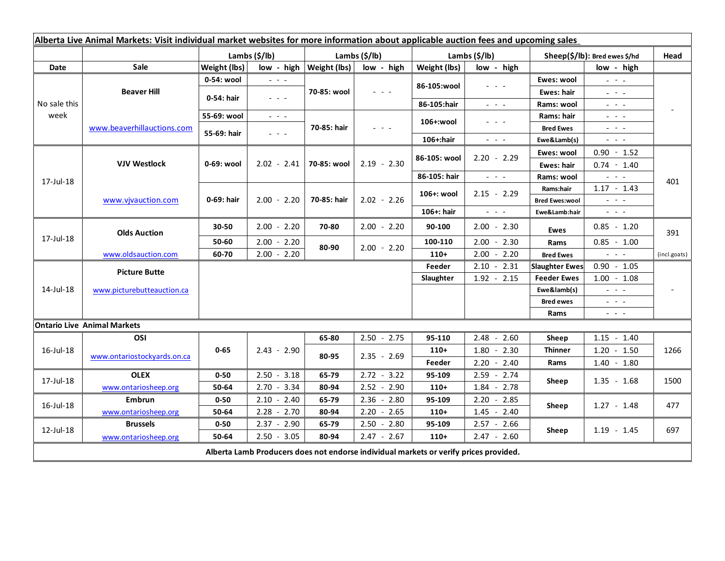| Alberta Live Animal Markets: Visit individual market websites for more information about applicable auction fees and upcoming sales |                             |               |                                                        |                                                            |                                             |               |                                                                                                                           |                               |                                                                                                                        |              |
|-------------------------------------------------------------------------------------------------------------------------------------|-----------------------------|---------------|--------------------------------------------------------|------------------------------------------------------------|---------------------------------------------|---------------|---------------------------------------------------------------------------------------------------------------------------|-------------------------------|------------------------------------------------------------------------------------------------------------------------|--------------|
|                                                                                                                                     |                             | Lambs (\$/lb) |                                                        | Lambs (\$/lb)                                              |                                             | Lambs (\$/lb) |                                                                                                                           | Sheep(\$/lb): Bred ewes \$/hd |                                                                                                                        | Head         |
| Date                                                                                                                                | <b>Sale</b>                 | Weight (lbs)  | low - high                                             | <b>Weight (lbs)</b>                                        | low - high                                  | Weight (lbs)  | low - high                                                                                                                |                               | low - high                                                                                                             |              |
| No sale this<br>week                                                                                                                | <b>Beaver Hill</b>          | 0-54: wool    | $\omega_{\rm c}$ and $\omega_{\rm c}$                  | 70-85: wool<br>$\omega_{\rm{eff}}$ and $\omega_{\rm{eff}}$ | $\omega_{\rm{eff}}$ and $\omega_{\rm{eff}}$ | 86-105:wool   | $\frac{1}{2} \left( \frac{1}{2} \right) \left( \frac{1}{2} \right) \left( \frac{1}{2} \right) \left( \frac{1}{2} \right)$ | Ewes: wool                    | $\omega_{\rm{eff}}=0.1$                                                                                                |              |
|                                                                                                                                     |                             | 0-54: hair    |                                                        |                                                            |                                             |               |                                                                                                                           | <b>Ewes: hair</b>             | $\omega_{\rm{eff}}=0.1$                                                                                                |              |
|                                                                                                                                     |                             |               |                                                        |                                                            |                                             | 86-105:hair   | $\omega_{\rm{eff}}$ and $\omega_{\rm{eff}}$                                                                               | Rams: wool                    | $\frac{1}{2} \left( \frac{1}{2} \right) = \frac{1}{2} \left( \frac{1}{2} \right)$                                      |              |
|                                                                                                                                     | www.beaverhillauctions.com  | 55-69: wool   | $\omega_{\rm{eff}}$ and $\omega_{\rm{eff}}$            | 70-85: hair                                                | $\mathbb{Z}^2 \times \mathbb{Z}^2$          | 106+:wool     | - - -                                                                                                                     | Rams: hair                    | $\frac{1}{2} \left( \frac{1}{2} \right) = \frac{1}{2} \left( \frac{1}{2} \right) = \frac{1}{2}$                        |              |
|                                                                                                                                     |                             | 55-69: hair   | $\omega_{\rm c}$ , $\omega_{\rm c}$ , $\omega_{\rm c}$ |                                                            |                                             |               |                                                                                                                           | <b>Bred Ewes</b>              | $\omega_{\rm{eff}}=0.1$                                                                                                |              |
|                                                                                                                                     |                             |               |                                                        |                                                            |                                             | 106+:hair     | $\omega_{\rm{eff}}$ and $\omega_{\rm{eff}}$                                                                               | Ewe&Lamb(s)                   | $\omega_{\rm{max}}$                                                                                                    |              |
| 17-Jul-18                                                                                                                           | <b>VJV Westlock</b>         | 0-69: wool    | $2.02 - 2.41$                                          | 70-85: wool                                                | $2.19 - 2.30$                               | 86-105: wool  | $2.20 - 2.29$                                                                                                             | Ewes: wool                    | $0.90 - 1.52$                                                                                                          | 401          |
|                                                                                                                                     |                             |               |                                                        |                                                            |                                             |               |                                                                                                                           | Ewes: hair                    | $0.74 - 1.40$                                                                                                          |              |
|                                                                                                                                     |                             |               |                                                        |                                                            |                                             | 86-105: hair  | $\omega_{\rm{eff}}$ and $\omega_{\rm{eff}}$                                                                               | Rams: wool                    | $\omega_{\rm c}$ , $\omega_{\rm c}$ , $\omega_{\rm c}$                                                                 |              |
|                                                                                                                                     | www.vjvauction.com          | 0-69: hair    | $2.00 - 2.20$                                          | 70-85: hair                                                | $2.02 - 2.26$                               | 106+: wool    | $2.15 - 2.29$                                                                                                             | Rams:hair                     | $1.17 - 1.43$                                                                                                          |              |
|                                                                                                                                     |                             |               |                                                        |                                                            |                                             |               |                                                                                                                           | <b>Bred Ewes:wool</b>         | $\omega_{\rm{eff}}$ and $\omega_{\rm{eff}}$                                                                            |              |
|                                                                                                                                     |                             |               |                                                        |                                                            |                                             | 106+: hair    | $\omega_{\rm{eff}}$ and $\omega_{\rm{eff}}$                                                                               | Ewe&Lamb:hair                 | $\omega_{\rm{eff}}$ and $\omega_{\rm{eff}}$                                                                            |              |
| 17-Jul-18                                                                                                                           | <b>Olds Auction</b>         | 30-50         | $2.00 - 2.20$                                          | 70-80                                                      | $2.00 - 2.20$                               | 90-100        | $2.00 - 2.30$                                                                                                             | <b>Ewes</b>                   | $0.85 - 1.20$                                                                                                          | 391          |
|                                                                                                                                     |                             | 50-60         | $2.00 - 2.20$                                          | 80-90                                                      | $2.00 - 2.20$                               | 100-110       | $2.00 - 2.30$                                                                                                             | Rams                          | $0.85 - 1.00$                                                                                                          |              |
|                                                                                                                                     | www.oldsauction.com         | 60-70         | $2.00 - 2.20$                                          |                                                            |                                             | $110+$        | $2.00 - 2.20$                                                                                                             | <b>Bred Ewes</b>              | $\omega_{\rm{max}}$ and $\omega_{\rm{max}}$                                                                            | (incl.goats) |
| 14-Jul-18                                                                                                                           | <b>Picture Butte</b>        |               |                                                        |                                                            |                                             | Feeder        | $2.10 - 2.31$                                                                                                             | <b>Slaughter Ewes</b>         | $0.90 - 1.05$                                                                                                          |              |
|                                                                                                                                     |                             |               |                                                        |                                                            |                                             | Slaughter     | $1.92 - 2.15$                                                                                                             | <b>Feeder Ewes</b>            | $1.00 - 1.08$                                                                                                          |              |
|                                                                                                                                     | www.picturebutteauction.ca  |               |                                                        |                                                            |                                             |               |                                                                                                                           | Ewe&lamb(s)                   | $\mathbb{L}^2 \times \mathbb{L}^2$                                                                                     |              |
|                                                                                                                                     |                             |               |                                                        |                                                            |                                             |               |                                                                                                                           | <b>Bred ewes</b>              | $\frac{1}{2} \left( \frac{1}{2} \right) = \frac{1}{2} \left( \frac{1}{2} \right) = \frac{1}{2}$                        |              |
|                                                                                                                                     |                             |               |                                                        |                                                            |                                             |               |                                                                                                                           | Rams                          | $\frac{1}{2} \left( \frac{1}{2} \right) \frac{1}{2} \left( \frac{1}{2} \right) \frac{1}{2} \left( \frac{1}{2} \right)$ |              |
| <b>Ontario Live Animal Markets</b>                                                                                                  |                             |               |                                                        |                                                            |                                             |               |                                                                                                                           |                               |                                                                                                                        |              |
| 16-Jul-18                                                                                                                           | OSI                         | $0 - 65$      |                                                        | 65-80                                                      | $2.50 - 2.75$                               | 95-110        | $2.48 - 2.60$                                                                                                             | Sheep                         | $1.15 - 1.40$                                                                                                          | 1266         |
|                                                                                                                                     | www.ontariostockyards.on.ca |               | $2.43 - 2.90$                                          | 80-95                                                      | $2.35 - 2.69$                               | $110+$        | $1.80 - 2.30$                                                                                                             | <b>Thinner</b>                | $1.20 - 1.50$                                                                                                          |              |
|                                                                                                                                     |                             |               |                                                        |                                                            |                                             | Feeder        | $2.20 - 2.40$                                                                                                             | Rams                          | $1.40 - 1.80$                                                                                                          |              |
| 17-Jul-18                                                                                                                           | <b>OLEX</b>                 | $0 - 50$      | $2.50 - 3.18$                                          | 65-79                                                      | $2.72 - 3.22$                               | 95-109        | $2.59 - 2.74$                                                                                                             | Sheep                         | $1.35 - 1.68$                                                                                                          | 1500         |
|                                                                                                                                     | www.ontariosheep.org        | 50-64         | $2.70 - 3.34$                                          | 80-94                                                      | $2.52 - 2.90$                               | $110+$        | $1.84 - 2.78$                                                                                                             |                               |                                                                                                                        |              |
| 16-Jul-18                                                                                                                           | Embrun                      | $0 - 50$      | $2.10 - 2.40$                                          | 65-79                                                      | $2.36 - 2.80$                               | 95-109        | $2.20 - 2.85$                                                                                                             | Sheep                         | $1.27 - 1.48$                                                                                                          | 477          |
|                                                                                                                                     | www.ontariosheep.org        | 50-64         | $2.28 - 2.70$                                          | 80-94                                                      | $2.20 - 2.65$                               | $110+$        | $1.45 - 2.40$                                                                                                             |                               |                                                                                                                        |              |
| 12-Jul-18                                                                                                                           | <b>Brussels</b>             | $0 - 50$      | $2.37 - 2.90$                                          | 65-79                                                      | $2.50 - 2.80$                               | 95-109        | $2.57 - 2.66$                                                                                                             | Sheep                         | $1.19 - 1.45$                                                                                                          | 697          |
|                                                                                                                                     | www.ontariosheep.org        | 50-64         | $2.50 - 3.05$                                          | 80-94                                                      | $2.47 - 2.67$                               | $110+$        | $2.47 - 2.60$                                                                                                             |                               |                                                                                                                        |              |
| Alberta Lamb Producers does not endorse individual markets or verify prices provided.                                               |                             |               |                                                        |                                                            |                                             |               |                                                                                                                           |                               |                                                                                                                        |              |